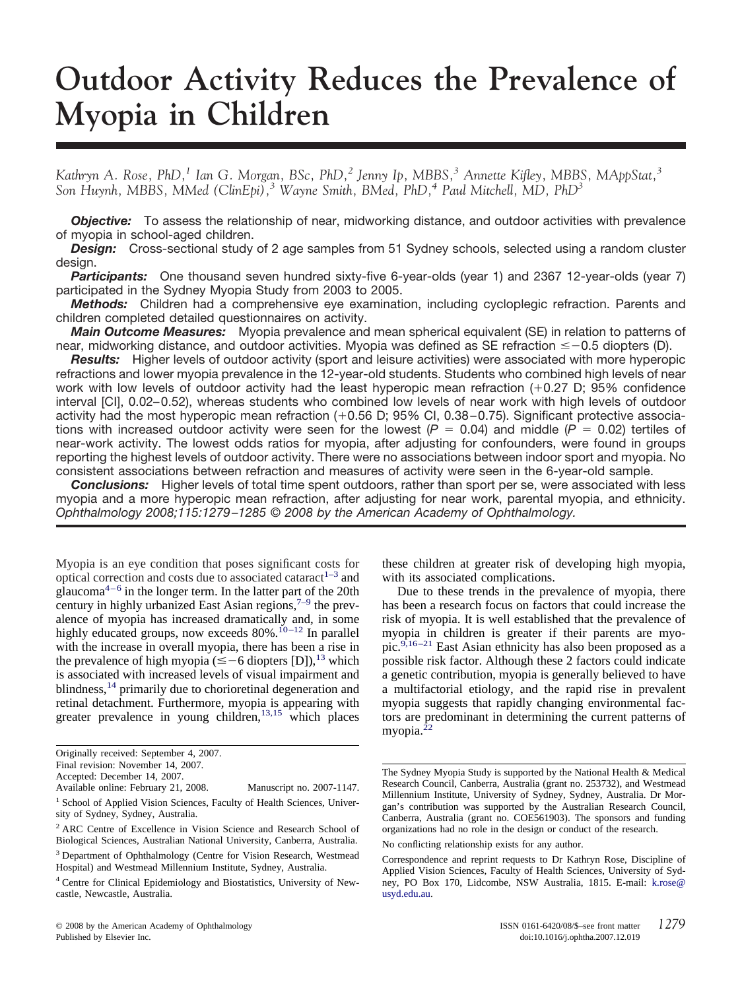# **Outdoor Activity Reduces the Prevalence of Myopia in Children**

*Kathryn A. Rose, PhD,<sup>1</sup> Ian G. Morgan, BSc, PhD,<sup>2</sup> Jenny Ip, MBBS,<sup>3</sup> Annette Kifley, MBBS, MAppStat,<sup>3</sup> Son Huynh, MBBS, MMed (ClinEpi),3 Wayne Smith, BMed, PhD,4 Paul Mitchell, MD, PhD3*

**Objective:** To assess the relationship of near, midworking distance, and outdoor activities with prevalence of myopia in school-aged children.

**Design:** Cross-sectional study of 2 age samples from 51 Sydney schools, selected using a random cluster design.

*Participants:* One thousand seven hundred sixty-five 6-year-olds (year 1) and 2367 12-year-olds (year 7) participated in the Sydney Myopia Study from 2003 to 2005.

*Methods:* Children had a comprehensive eye examination, including cycloplegic refraction. Parents and children completed detailed questionnaires on activity.

*Main Outcome Measures:* Myopia prevalence and mean spherical equivalent (SE) in relation to patterns of near, midworking distance, and outdoor activities. Myopia was defined as SE refraction  $\leq -0.5$  diopters (D).

*Results:* Higher levels of outdoor activity (sport and leisure activities) were associated with more hyperopic refractions and lower myopia prevalence in the 12-year-old students. Students who combined high levels of near work with low levels of outdoor activity had the least hyperopic mean refraction (+0.27 D; 95% confidence interval [CI], 0.02– 0.52), whereas students who combined low levels of near work with high levels of outdoor activity had the most hyperopic mean refraction (+0.56 D; 95% CI, 0.38–0.75). Significant protective associations with increased outdoor activity were seen for the lowest  $(P = 0.04)$  and middle  $(P = 0.02)$  tertiles of near-work activity. The lowest odds ratios for myopia, after adjusting for confounders, were found in groups reporting the highest levels of outdoor activity. There were no associations between indoor sport and myopia. No consistent associations between refraction and measures of activity were seen in the 6-year-old sample.

*Conclusions:* Higher levels of total time spent outdoors, rather than sport per se, were associated with less myopia and a more hyperopic mean refraction, after adjusting for near work, parental myopia, and ethnicity. *Ophthalmology 2008;115:1279 –1285 © 2008 by the American Academy of Ophthalmology.*

Myopia is an eye condition that poses significant costs for optical correction and costs due to associated cataract<sup> $1-3$ </sup> and glaucom[a4–6](#page-5-0) in the longer term. In the latter part of the 20th century in highly urbanized East Asian regions, $7-9$  the prevalence of myopia has increased dramatically and, in some highly educated groups, now exceeds  $80\%$ .<sup>10-12</sup> In parallel with the increase in overall myopia, there has been a rise in the prevalence of high myopia ( $\leq -6$  diopters [D]),<sup>[13](#page-5-0)</sup> which is associated with increased levels of visual impairment and blindness,<sup>[14](#page-5-0)</sup> primarily due to chorioretinal degeneration and retinal detachment. Furthermore, myopia is appearing with greater prevalence in young children, $13,15$  which places

<sup>3</sup> Department of Ophthalmology (Centre for Vision Research, Westmead Hospital) and Westmead Millennium Institute, Sydney, Australia.

these children at greater risk of developing high myopia, with its associated complications.

Due to these trends in the prevalence of myopia, there has been a research focus on factors that could increase the risk of myopia. It is well established that the prevalence of myopia in children is greater if their parents are myopic.[9,16 –21](#page-5-0) East Asian ethnicity has also been proposed as a possible risk factor. Although these 2 factors could indicate a genetic contribution, myopia is generally believed to have a multifactorial etiology, and the rapid rise in prevalent myopia suggests that rapidly changing environmental factors are predominant in determining the current patterns of myopia.<sup>22</sup>

Originally received: September 4, 2007.

Final revision: November 14, 2007.

Accepted: December 14, 2007.

Available online: February 21, 2008. Manuscript no. 2007-1147.

<sup>&</sup>lt;sup>1</sup> School of Applied Vision Sciences, Faculty of Health Sciences, University of Sydney, Sydney, Australia.

<sup>2</sup> ARC Centre of Excellence in Vision Science and Research School of Biological Sciences, Australian National University, Canberra, Australia.

<sup>4</sup> Centre for Clinical Epidemiology and Biostatistics, University of Newcastle, Newcastle, Australia.

The Sydney Myopia Study is supported by the National Health & Medical Research Council, Canberra, Australia (grant no. 253732), and Westmead Millennium Institute, University of Sydney, Sydney, Australia. Dr Morgan's contribution was supported by the Australian Research Council, Canberra, Australia (grant no. COE561903). The sponsors and funding organizations had no role in the design or conduct of the research.

No conflicting relationship exists for any author.

Correspondence and reprint requests to Dr Kathryn Rose, Discipline of Applied Vision Sciences, Faculty of Health Sciences, University of Sydney, PO Box 170, Lidcombe, NSW Australia, 1815. E-mail: [k.rose@](mailto:k.rose@usyd.edu.au) [usyd.edu.au.](mailto:k.rose@usyd.edu.au)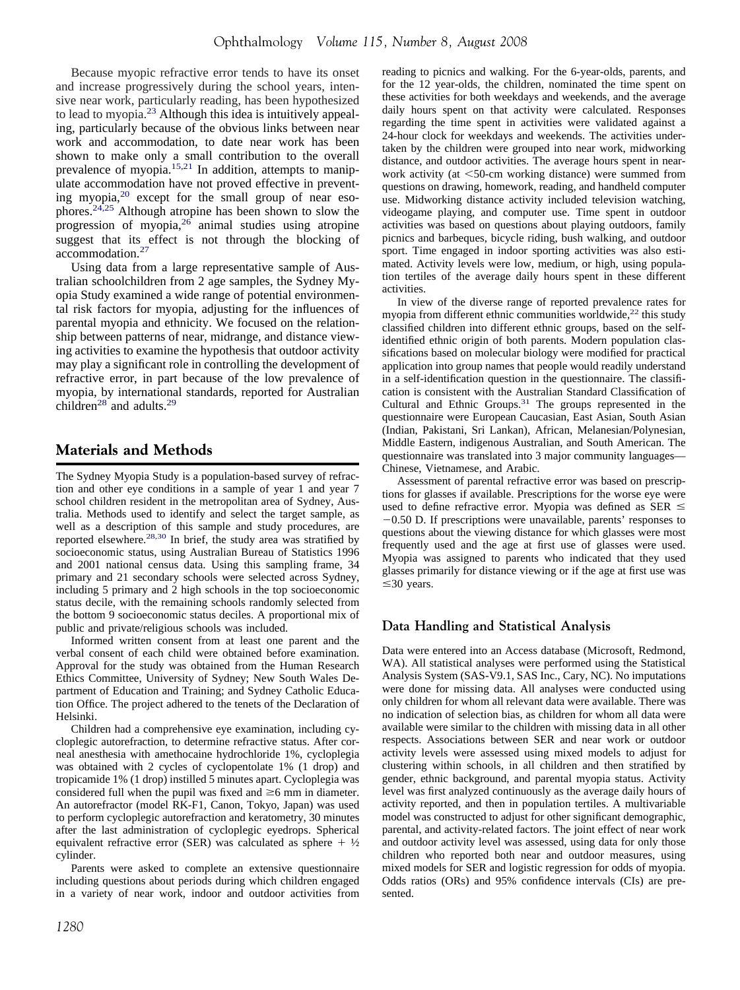Because myopic refractive error tends to have its onset and increase progressively during the school years, intensive near work, particularly reading, has been hypothesized to lead to myopia[.23](#page-6-0) Although this idea is intuitively appealing, particularly because of the obvious links between near work and accommodation, to date near work has been shown to make only a small contribution to the overall prevalence of myopia[.15,21](#page-5-0) In addition, attempts to manipulate accommodation have not proved effective in preventing myopia[,20](#page-6-0) except for the small group of near eso-phores.<sup>[24,25](#page-6-0)</sup> Although atropine has been shown to slow the progression of myopia,[26](#page-6-0) animal studies using atropine suggest that its effect is not through the blocking of accommodation.[27](#page-6-0)

Using data from a large representative sample of Australian schoolchildren from 2 age samples, the Sydney Myopia Study examined a wide range of potential environmental risk factors for myopia, adjusting for the influences of parental myopia and ethnicity. We focused on the relationship between patterns of near, midrange, and distance viewing activities to examine the hypothesis that outdoor activity may play a significant role in controlling the development of refractive error, in part because of the low prevalence of myopia, by international standards, reported for Australian children<sup>[28](#page-6-0)</sup> and adults.<sup>[29](#page-6-0)</sup>

## **Materials and Methods**

The Sydney Myopia Study is a population-based survey of refraction and other eye conditions in a sample of year 1 and year 7 school children resident in the metropolitan area of Sydney, Australia. Methods used to identify and select the target sample, as well as a description of this sample and study procedures, are reported elsewhere[.28,30](#page-6-0) In brief, the study area was stratified by socioeconomic status, using Australian Bureau of Statistics 1996 and 2001 national census data. Using this sampling frame, 34 primary and 21 secondary schools were selected across Sydney, including 5 primary and 2 high schools in the top socioeconomic status decile, with the remaining schools randomly selected from the bottom 9 socioeconomic status deciles. A proportional mix of public and private/religious schools was included.

Informed written consent from at least one parent and the verbal consent of each child were obtained before examination. Approval for the study was obtained from the Human Research Ethics Committee, University of Sydney; New South Wales Department of Education and Training; and Sydney Catholic Education Office. The project adhered to the tenets of the Declaration of Helsinki.

Children had a comprehensive eye examination, including cycloplegic autorefraction, to determine refractive status. After corneal anesthesia with amethocaine hydrochloride 1%, cycloplegia was obtained with 2 cycles of cyclopentolate 1% (1 drop) and tropicamide 1% (1 drop) instilled 5 minutes apart. Cycloplegia was considered full when the pupil was fixed and  $\geq 6$  mm in diameter. An autorefractor (model RK-F1, Canon, Tokyo, Japan) was used to perform cycloplegic autorefraction and keratometry, 30 minutes after the last administration of cycloplegic eyedrops. Spherical equivalent refractive error (SER) was calculated as sphere  $+$  1/2 cylinder.

Parents were asked to complete an extensive questionnaire including questions about periods during which children engaged in a variety of near work, indoor and outdoor activities from reading to picnics and walking. For the 6-year-olds, parents, and for the 12 year-olds, the children, nominated the time spent on these activities for both weekdays and weekends, and the average daily hours spent on that activity were calculated. Responses regarding the time spent in activities were validated against a 24-hour clock for weekdays and weekends. The activities undertaken by the children were grouped into near work, midworking distance, and outdoor activities. The average hours spent in nearwork activity (at  $\leq$ 50-cm working distance) were summed from questions on drawing, homework, reading, and handheld computer use. Midworking distance activity included television watching, videogame playing, and computer use. Time spent in outdoor activities was based on questions about playing outdoors, family picnics and barbeques, bicycle riding, bush walking, and outdoor sport. Time engaged in indoor sporting activities was also estimated. Activity levels were low, medium, or high, using population tertiles of the average daily hours spent in these different activities.

In view of the diverse range of reported prevalence rates for myopia from different ethnic communities worldwide, $^{22}$  this study classified children into different ethnic groups, based on the selfidentified ethnic origin of both parents. Modern population classifications based on molecular biology were modified for practical application into group names that people would readily understand in a self-identification question in the questionnaire. The classification is consistent with the Australian Standard Classification of Cultural and Ethnic Groups. $31$  The groups represented in the questionnaire were European Caucasian, East Asian, South Asian (Indian, Pakistani, Sri Lankan), African, Melanesian/Polynesian, Middle Eastern, indigenous Australian, and South American. The questionnaire was translated into 3 major community languages— Chinese, Vietnamese, and Arabic.

Assessment of parental refractive error was based on prescriptions for glasses if available. Prescriptions for the worse eye were used to define refractive error. Myopia was defined as SER  $\leq$  $-0.50$  D. If prescriptions were unavailable, parents' responses to questions about the viewing distance for which glasses were most frequently used and the age at first use of glasses were used. Myopia was assigned to parents who indicated that they used glasses primarily for distance viewing or if the age at first use was  $\leq$ 30 years.

#### **Data Handling and Statistical Analysis**

Data were entered into an Access database (Microsoft, Redmond, WA). All statistical analyses were performed using the Statistical Analysis System (SAS-V9.1, SAS Inc., Cary, NC). No imputations were done for missing data. All analyses were conducted using only children for whom all relevant data were available. There was no indication of selection bias, as children for whom all data were available were similar to the children with missing data in all other respects. Associations between SER and near work or outdoor activity levels were assessed using mixed models to adjust for clustering within schools, in all children and then stratified by gender, ethnic background, and parental myopia status. Activity level was first analyzed continuously as the average daily hours of activity reported, and then in population tertiles. A multivariable model was constructed to adjust for other significant demographic, parental, and activity-related factors. The joint effect of near work and outdoor activity level was assessed, using data for only those children who reported both near and outdoor measures, using mixed models for SER and logistic regression for odds of myopia. Odds ratios (ORs) and 95% confidence intervals (CIs) are presented.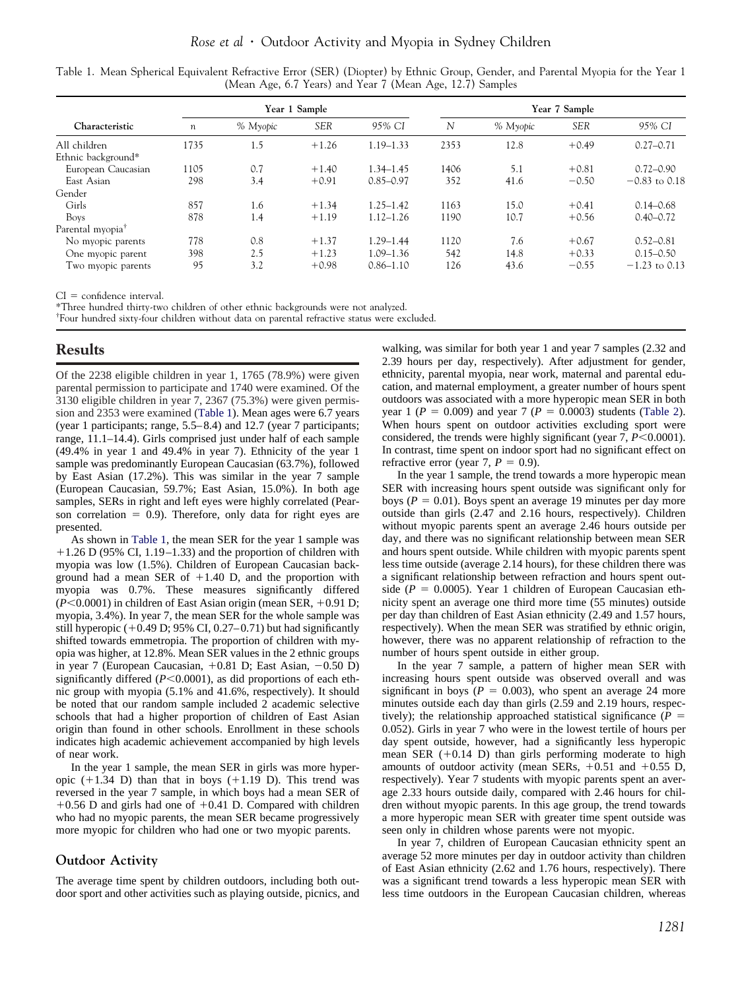|  | Table 1. Mean Spherical Equivalent Refractive Error (SER) (Diopter) by Ethnic Group, Gender, and Parental Myopia for the Year 1 |  |  |  |  |
|--|---------------------------------------------------------------------------------------------------------------------------------|--|--|--|--|
|  | (Mean Age, 6.7 Years) and Year 7 (Mean Age, 12.7) Samples                                                                       |  |  |  |  |

|                              |      |          | Year 1 Sample |               | Year 7 Sample |          |            |                 |  |  |
|------------------------------|------|----------|---------------|---------------|---------------|----------|------------|-----------------|--|--|
| Characteristic               | n    | % Myopic | <b>SER</b>    | 95% CI        | N             | % Myopic | <b>SER</b> | 95% CI          |  |  |
| All children                 | 1735 | 1.5      | $+1.26$       | $1.19 - 1.33$ | 2353          | 12.8     | $+0.49$    | $0.27 - 0.71$   |  |  |
| Ethnic background*           |      |          |               |               |               |          |            |                 |  |  |
| European Caucasian           | 1105 | 0.7      | $+1.40$       | $1.34 - 1.45$ | 1406          | 5.1      | $+0.81$    | $0.72 - 0.90$   |  |  |
| East Asian                   | 298  | 3.4      | $+0.91$       | $0.85 - 0.97$ | 352           | 41.6     | $-0.50$    | $-0.83$ to 0.18 |  |  |
| Gender                       |      |          |               |               |               |          |            |                 |  |  |
| Girls                        | 857  | 1.6      | $+1.34$       | $1.25 - 1.42$ | 1163          | 15.0     | $+0.41$    | $0.14 - 0.68$   |  |  |
| Boys                         | 878  | 1.4      | $+1.19$       | $1.12 - 1.26$ | 1190          | 10.7     | $+0.56$    | $0.40 - 0.72$   |  |  |
| Parental myopia <sup>T</sup> |      |          |               |               |               |          |            |                 |  |  |
| No myopic parents            | 778  | 0.8      | $+1.37$       | $1.29 - 1.44$ | 1120          | 7.6      | $+0.67$    | $0.52 - 0.81$   |  |  |
| One myopic parent            | 398  | 2.5      | $+1.23$       | $1.09 - 1.36$ | 542           | 14.8     | $+0.33$    | $0.15 - 0.50$   |  |  |
| Two myopic parents           | 95   | 3.2      | $+0.98$       | $0.86 - 1.10$ | 126           | 43.6     | $-0.55$    | $-1.23$ to 0.13 |  |  |

 $CI =$  confidence interval.

\*Three hundred thirty-two children of other ethnic backgrounds were not analyzed.

† Four hundred sixty-four children without data on parental refractive status were excluded.

# **Results**

Of the 2238 eligible children in year 1, 1765 (78.9%) were given parental permission to participate and 1740 were examined. Of the 3130 eligible children in year 7, 2367 (75.3%) were given permission and 2353 were examined (Table 1). Mean ages were 6.7 years (year 1 participants; range, 5.5– 8.4) and 12.7 (year 7 participants; range, 11.1–14.4). Girls comprised just under half of each sample (49.4% in year 1 and 49.4% in year 7). Ethnicity of the year 1 sample was predominantly European Caucasian (63.7%), followed by East Asian (17.2%). This was similar in the year 7 sample (European Caucasian, 59.7%; East Asian, 15.0%). In both age samples, SERs in right and left eyes were highly correlated (Pearson correlation  $= 0.9$ ). Therefore, only data for right eyes are presented.

As shown in Table 1, the mean SER for the year 1 sample was -1.26 D (95% CI, 1.19 –1.33) and the proportion of children with myopia was low (1.5%). Children of European Caucasian background had a mean SER of  $+1.40$  D, and the proportion with myopia was 0.7%. These measures significantly differed  $(P<0.0001)$  in children of East Asian origin (mean SER,  $+0.91$  D; myopia, 3.4%). In year 7, the mean SER for the whole sample was still hyperopic  $(+0.49 \text{ D}; 95\% \text{ CI}, 0.27-0.71)$  but had significantly shifted towards emmetropia. The proportion of children with myopia was higher, at 12.8%. Mean SER values in the 2 ethnic groups in year 7 (European Caucasian, +0.81 D; East Asian, -0.50 D) significantly differed  $(P<0.0001)$ , as did proportions of each ethnic group with myopia (5.1% and 41.6%, respectively). It should be noted that our random sample included 2 academic selective schools that had a higher proportion of children of East Asian origin than found in other schools. Enrollment in these schools indicates high academic achievement accompanied by high levels of near work.

In the year 1 sample, the mean SER in girls was more hyperopic  $(+1.34 \text{ D})$  than that in boys  $(+1.19 \text{ D})$ . This trend was reversed in the year 7 sample, in which boys had a mean SER of  $+0.56$  D and girls had one of  $+0.41$  D. Compared with children who had no myopic parents, the mean SER became progressively more myopic for children who had one or two myopic parents.

#### **Outdoor Activity**

The average time spent by children outdoors, including both outdoor sport and other activities such as playing outside, picnics, and

walking, was similar for both year 1 and year 7 samples (2.32 and 2.39 hours per day, respectively). After adjustment for gender, ethnicity, parental myopia, near work, maternal and parental education, and maternal employment, a greater number of hours spent outdoors was associated with a more hyperopic mean SER in both year 1 ( $P = 0.009$ ) and year 7 ( $P = 0.0003$ ) students [\(Table 2\)](#page-3-0). When hours spent on outdoor activities excluding sport were considered, the trends were highly significant (year  $7, P<0.0001$ ). In contrast, time spent on indoor sport had no significant effect on refractive error (year 7,  $P = 0.9$ ).

In the year 1 sample, the trend towards a more hyperopic mean SER with increasing hours spent outside was significant only for boys ( $P = 0.01$ ). Boys spent an average 19 minutes per day more outside than girls (2.47 and 2.16 hours, respectively). Children without myopic parents spent an average 2.46 hours outside per day, and there was no significant relationship between mean SER and hours spent outside. While children with myopic parents spent less time outside (average 2.14 hours), for these children there was a significant relationship between refraction and hours spent outside ( $P = 0.0005$ ). Year 1 children of European Caucasian ethnicity spent an average one third more time (55 minutes) outside per day than children of East Asian ethnicity (2.49 and 1.57 hours, respectively). When the mean SER was stratified by ethnic origin, however, there was no apparent relationship of refraction to the number of hours spent outside in either group.

In the year 7 sample, a pattern of higher mean SER with increasing hours spent outside was observed overall and was significant in boys ( $P = 0.003$ ), who spent an average 24 more minutes outside each day than girls (2.59 and 2.19 hours, respectively); the relationship approached statistical significance  $(P =$ 0.052). Girls in year 7 who were in the lowest tertile of hours per day spent outside, however, had a significantly less hyperopic mean SER  $(+0.14)$  than girls performing moderate to high amounts of outdoor activity (mean SERs,  $+0.51$  and  $+0.55$  D, respectively). Year 7 students with myopic parents spent an average 2.33 hours outside daily, compared with 2.46 hours for children without myopic parents. In this age group, the trend towards a more hyperopic mean SER with greater time spent outside was seen only in children whose parents were not myopic.

In year 7, children of European Caucasian ethnicity spent an average 52 more minutes per day in outdoor activity than children of East Asian ethnicity (2.62 and 1.76 hours, respectively). There was a significant trend towards a less hyperopic mean SER with less time outdoors in the European Caucasian children, whereas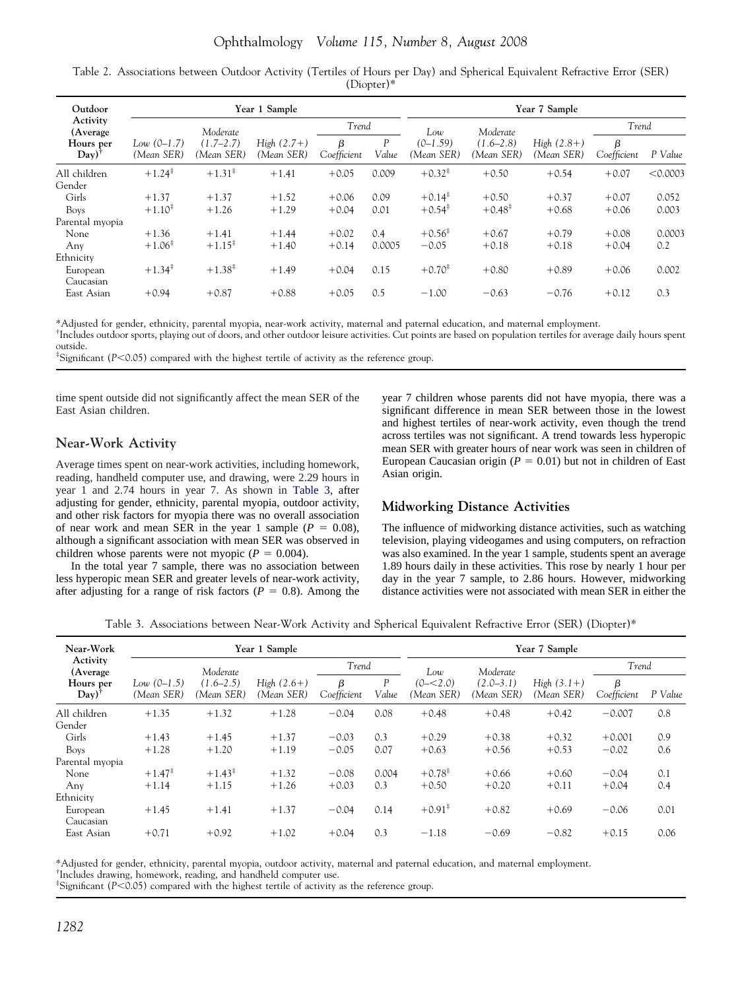| Ophthalmology Volume 115, Number 8, August 2008 |  |  |  |  |  |
|-------------------------------------------------|--|--|--|--|--|
|-------------------------------------------------|--|--|--|--|--|

<span id="page-3-0"></span>Table 2. Associations between Outdoor Activity (Tertiles of Hours per Day) and Spherical Equivalent Refractive Error (SER) (Diopter)\*

| Outdoor               |                             |                             | Year 1 Sample               |                  | Year 7 Sample |                          |                             |                             |                        |          |
|-----------------------|-----------------------------|-----------------------------|-----------------------------|------------------|---------------|--------------------------|-----------------------------|-----------------------------|------------------------|----------|
| Activity<br>(Average) | Moderate                    |                             |                             | Trend            |               | Low                      | Moderate                    |                             | Trend                  |          |
| Hours per<br>Day)     | $Low (0-1.7)$<br>(Mean SER) | $(1.7 - 2.7)$<br>(Mean SER) | High $(2.7+)$<br>(Mean SER) | β<br>Coefficient | P<br>Value    | $(0-1.59)$<br>(Mean SER) | $(1.6 - 2.8)$<br>(Mean SER) | High $(2.8+)$<br>(Mean SER) | $\beta$<br>Coefficient | P Value  |
| All children          | $+1.24^{\ddagger}$          | $+1.31$ <sup>*</sup>        | $+1.41$                     | $+0.05$          | 0.009         | $+0.32^*$                | $+0.50$                     | $+0.54$                     | $+0.07$                | < 0.0003 |
| Gender                |                             |                             |                             |                  |               |                          |                             |                             |                        |          |
| Girls                 | $+1.37$                     | $+1.37$                     | $+1.52$                     | $+0.06$          | 0.09          | $+0.14^{\ddagger}$       | $+0.50$                     | $+0.37$                     | $+0.07$                | 0.052    |
| Boys                  | $+1.10^{*}$                 | $+1.26$                     | $+1.29$                     | $+0.04$          | 0.01          | $+0.54^{\ddagger}$       | $+0.48^{\ddagger}$          | $+0.68$                     | $+0.06$                | 0.003    |
| Parental myopia       |                             |                             |                             |                  |               |                          |                             |                             |                        |          |
| None                  | $+1.36$                     | $+1.41$                     | $+1.44$                     | $+0.02$          | 0.4           | $+0.56^{\ddagger}$       | $+0.67$                     | $+0.79$                     | $+0.08$                | 0.0003   |
| Any                   | $+1.06^{\ddagger}$          | $+1.15^{\ddagger}$          | $+1.40$                     | $+0.14$          | 0.0005        | $-0.05$                  | $+0.18$                     | $+0.18$                     | $+0.04$                | 0.2      |
| Ethnicity             |                             |                             |                             |                  |               |                          |                             |                             |                        |          |
| European<br>Caucasian | $+1.34^{\ddagger}$          | $+1.38^{\ddagger}$          | $+1.49$                     | $+0.04$          | 0.15          | $+0.70^{\ddagger}$       | $+0.80$                     | $+0.89$                     | $+0.06$                | 0.002    |
| East Asian            | $+0.94$                     | $+0.87$                     | $+0.88$                     | $+0.05$          | 0.5           | $-1.00$                  | $-0.63$                     | $-0.76$                     | $+0.12$                | 0.3      |

\*Adjusted for gender, ethnicity, parental myopia, near-work activity, maternal and paternal education, and maternal employment.

† Includes outdoor sports, playing out of doors, and other outdoor leisure activities. Cut points are based on population tertiles for average daily hours spent outside.

<sup>‡</sup>Significant (*P<*0.05) compared with the highest tertile of activity as the reference group.

time spent outside did not significantly affect the mean SER of the East Asian children.

#### **Near-Work Activity**

Average times spent on near-work activities, including homework, reading, handheld computer use, and drawing, were 2.29 hours in year 1 and 2.74 hours in year 7. As shown in Table 3, after adjusting for gender, ethnicity, parental myopia, outdoor activity, and other risk factors for myopia there was no overall association of near work and mean SER in the year 1 sample  $(P = 0.08)$ , although a significant association with mean SER was observed in children whose parents were not myopic  $(P = 0.004)$ .

In the total year 7 sample, there was no association between less hyperopic mean SER and greater levels of near-work activity, after adjusting for a range of risk factors ( $P = 0.8$ ). Among the year 7 children whose parents did not have myopia, there was a significant difference in mean SER between those in the lowest and highest tertiles of near-work activity, even though the trend across tertiles was not significant. A trend towards less hyperopic mean SER with greater hours of near work was seen in children of European Caucasian origin ( $P = 0.01$ ) but not in children of East Asian origin.

#### **Midworking Distance Activities**

The influence of midworking distance activities, such as watching television, playing videogames and using computers, on refraction was also examined. In the year 1 sample, students spent an average 1.89 hours daily in these activities. This rose by nearly 1 hour per day in the year 7 sample, to 2.86 hours. However, midworking distance activities were not associated with mean SER in either the

Table 3. Associations between Near-Work Activity and Spherical Equivalent Refractive Error (SER) (Diopter)\*

| Near-Work             |                             |                             | Year 1 Sample               |                  | Year 7 Sample |                           |                             |                             |                  |         |
|-----------------------|-----------------------------|-----------------------------|-----------------------------|------------------|---------------|---------------------------|-----------------------------|-----------------------------|------------------|---------|
| Activity<br>(Average) |                             | Moderate                    |                             | Trend            |               | Low                       | Moderate                    |                             | Trend            |         |
| Hours per<br>Day)     | Low $(0-1.5)$<br>(Mean SER) | $(1.6 - 2.5)$<br>(Mean SER) | High $(2.6+)$<br>(Mean SER) | β<br>Coefficient | P<br>Value    | $(0 - 2.0)$<br>(Mean SER) | $(2.0 - 3.1)$<br>(Mean SER) | High $(3.1+)$<br>(Mean SER) | β<br>Coefficient | P Value |
| All children          | $+1.35$                     | $+1.32$                     | $+1.28$                     | $-0.04$          | 0.08          | $+0.48$                   | $+0.48$                     | $+0.42$                     | $-0.007$         | 0.8     |
| Gender                |                             |                             |                             |                  |               |                           |                             |                             |                  |         |
| Girls                 | $+1.43$                     | $+1.45$                     | $+1.37$                     | $-0.03$          | 0.3           | $+0.29$                   | $+0.38$                     | $+0.32$                     | $+0.001$         | 0.9     |
| Boys                  | $+1.28$                     | $+1.20$                     | $+1.19$                     | $-0.05$          | 0.07          | $+0.63$                   | $+0.56$                     | $+0.53$                     | $-0.02$          | 0.6     |
| Parental myopia       |                             |                             |                             |                  |               |                           |                             |                             |                  |         |
| None                  | $+1.47^*$                   | $+1.43^{\ddagger}$          | $+1.32$                     | $-0.08$          | 0.004         | $+0.78^{\ddagger}$        | $+0.66$                     | $+0.60$                     | $-0.04$          | 0.1     |
| Any                   | $+1.14$                     | $+1.15$                     | $+1.26$                     | $+0.03$          | 0.3           | $+0.50$                   | $+0.20$                     | $+0.11$                     | $+0.04$          | 0.4     |
| Ethnicity             |                             |                             |                             |                  |               |                           |                             |                             |                  |         |
| European<br>Caucasian | $+1.45$                     | $+1.41$                     | $+1.37$                     | $-0.04$          | 0.14          | $+0.91^*$                 | $+0.82$                     | $+0.69$                     | $-0.06$          | 0.01    |
| East Asian            | $+0.71$                     | $+0.92$                     | $+1.02$                     | $+0.04$          | 0.3           | $-1.18$                   | $-0.69$                     | $-0.82$                     | $+0.15$          | 0.06    |

\*Adjusted for gender, ethnicity, parental myopia, outdoor activity, maternal and paternal education, and maternal employment. † Includes drawing, homework, reading, and handheld computer use.

<sup>‡</sup>Significant (*P<*0.05) compared with the highest tertile of activity as the reference group.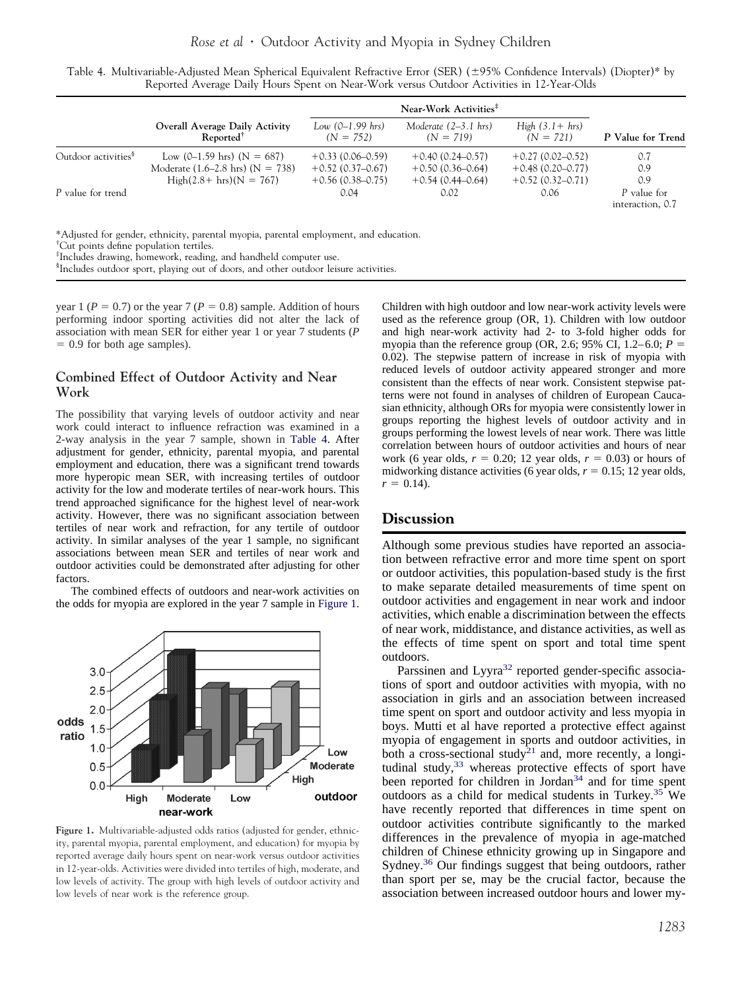| Table 4. Multivariable-Adjusted Mean Spherical Equivalent Refractive Error (SER) (±95% Confidence Intervals) (Diopter)* by |  |
|----------------------------------------------------------------------------------------------------------------------------|--|
| Reported Average Daily Hours Spent on Near-Work versus Outdoor Activities in 12-Year-Olds                                  |  |

|                                 | Near-Work Activities <sup>*</sup>                       |                                   |                                       |                                  |                                 |  |  |
|---------------------------------|---------------------------------------------------------|-----------------------------------|---------------------------------------|----------------------------------|---------------------------------|--|--|
|                                 | Overall Average Daily Activity<br>Reported <sup>†</sup> | Low $(0-1.99$ hrs)<br>$(N = 752)$ | Moderate $(2-3.1$ hrs)<br>$(N = 719)$ | High $(3.1 + hr)$<br>$(N = 721)$ | P Value for Trend               |  |  |
| Outdoor activities <sup>§</sup> | Low $(0-1.59$ hrs) $(N = 687)$                          | $+0.33(0.06-0.59)$                | $+0.40(0.24 - 0.57)$                  | $+0.27(0.02 - 0.52)$             | 0.7                             |  |  |
|                                 | Moderate $(1.6-2.8 \text{ hrs}) (N = 738)$              | $+0.52(0.37-0.67)$                | $+0.50(0.36 - 0.64)$                  | $+0.48(0.20 - 0.77)$             | 0.9                             |  |  |
|                                 | $High(2.8 + hrs)(N = 767)$                              | $+0.56(0.38-0.75)$                | $+0.54(0.44 - 0.64)$                  | $+0.52(0.32-0.71)$               | 0.9                             |  |  |
| P value for trend               |                                                         | 0.04                              | 0.02                                  | 0.06                             | P value for<br>interaction, 0.7 |  |  |

\*Adjusted for gender, ethnicity, parental myopia, parental employment, and education.

† Cut points define population tertiles.

‡ Includes drawing, homework, reading, and handheld computer use.

§ Includes outdoor sport, playing out of doors, and other outdoor leisure activities.

year 1 ( $P = 0.7$ ) or the year 7 ( $P = 0.8$ ) sample. Addition of hours performing indoor sporting activities did not alter the lack of association with mean SER for either year 1 or year 7 students (*P*  $= 0.9$  for both age samples).

#### **Combined Effect of Outdoor Activity and Near Work**

The possibility that varying levels of outdoor activity and near work could interact to influence refraction was examined in a 2-way analysis in the year 7 sample, shown in Table 4. After adjustment for gender, ethnicity, parental myopia, and parental employment and education, there was a significant trend towards more hyperopic mean SER, with increasing tertiles of outdoor activity for the low and moderate tertiles of near-work hours. This trend approached significance for the highest level of near-work activity. However, there was no significant association between tertiles of near work and refraction, for any tertile of outdoor activity. In similar analyses of the year 1 sample, no significant associations between mean SER and tertiles of near work and outdoor activities could be demonstrated after adjusting for other factors.

The combined effects of outdoors and near-work activities on the odds for myopia are explored in the year 7 sample in Figure 1.



Figure 1. Multivariable-adjusted odds ratios (adjusted for gender, ethnicity, parental myopia, parental employment, and education) for myopia by reported average daily hours spent on near-work versus outdoor activities in 12-year-olds. Activities were divided into tertiles of high, moderate, and low levels of activity. The group with high levels of outdoor activity and low levels of near work is the reference group.

Children with high outdoor and low near-work activity levels were used as the reference group (OR, 1). Children with low outdoor and high near-work activity had 2- to 3-fold higher odds for myopia than the reference group (OR, 2.6; 95% CI, 1.2–6.0;  $P =$ 0.02). The stepwise pattern of increase in risk of myopia with reduced levels of outdoor activity appeared stronger and more consistent than the effects of near work. Consistent stepwise patterns were not found in analyses of children of European Caucasian ethnicity, although ORs for myopia were consistently lower in groups reporting the highest levels of outdoor activity and in groups performing the lowest levels of near work. There was little correlation between hours of outdoor activities and hours of near work (6 year olds,  $r = 0.20$ ; 12 year olds,  $r = 0.03$ ) or hours of midworking distance activities (6 year olds,  $r = 0.15$ ; 12 year olds,  $r = 0.14$ .

#### **Discussion**

Although some previous studies have reported an association between refractive error and more time spent on sport or outdoor activities, this population-based study is the first to make separate detailed measurements of time spent on outdoor activities and engagement in near work and indoor activities, which enable a discrimination between the effects of near work, middistance, and distance activities, as well as the effects of time spent on sport and total time spent outdoors.

Parssinen and Lyyra<sup>[32](#page-6-0)</sup> reported gender-specific associations of sport and outdoor activities with myopia, with no association in girls and an association between increased time spent on sport and outdoor activity and less myopia in boys. Mutti et al have reported a protective effect against myopia of engagement in sports and outdoor activities, in both a cross-sectional study<sup>[21](#page-6-0)</sup> and, more recently, a longitudinal study, $33$  whereas protective effects of sport have been reported for children in Jordan<sup>[34](#page-6-0)</sup> and for time spent outdoors as a child for medical students in Turkey[.35](#page-6-0) We have recently reported that differences in time spent on outdoor activities contribute significantly to the marked differences in the prevalence of myopia in age-matched children of Chinese ethnicity growing up in Singapore and Sydney.<sup>36</sup> Our findings suggest that being outdoors, rather than sport per se, may be the crucial factor, because the association between increased outdoor hours and lower my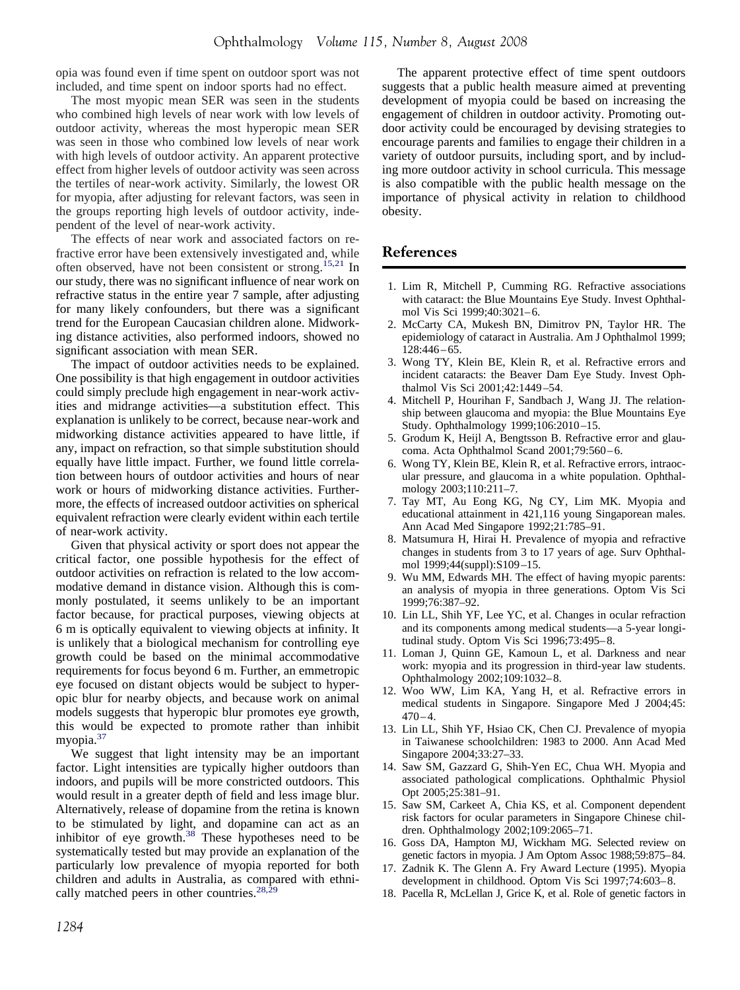<span id="page-5-0"></span>opia was found even if time spent on outdoor sport was not included, and time spent on indoor sports had no effect.

The most myopic mean SER was seen in the students who combined high levels of near work with low levels of outdoor activity, whereas the most hyperopic mean SER was seen in those who combined low levels of near work with high levels of outdoor activity. An apparent protective effect from higher levels of outdoor activity was seen across the tertiles of near-work activity. Similarly, the lowest OR for myopia, after adjusting for relevant factors, was seen in the groups reporting high levels of outdoor activity, independent of the level of near-work activity.

The effects of near work and associated factors on refractive error have been extensively investigated and, while often observed, have not been consistent or strong.15,21 In our study, there was no significant influence of near work on refractive status in the entire year 7 sample, after adjusting for many likely confounders, but there was a significant trend for the European Caucasian children alone. Midworking distance activities, also performed indoors, showed no significant association with mean SER.

The impact of outdoor activities needs to be explained. One possibility is that high engagement in outdoor activities could simply preclude high engagement in near-work activities and midrange activities—a substitution effect. This explanation is unlikely to be correct, because near-work and midworking distance activities appeared to have little, if any, impact on refraction, so that simple substitution should equally have little impact. Further, we found little correlation between hours of outdoor activities and hours of near work or hours of midworking distance activities. Furthermore, the effects of increased outdoor activities on spherical equivalent refraction were clearly evident within each tertile of near-work activity.

Given that physical activity or sport does not appear the critical factor, one possible hypothesis for the effect of outdoor activities on refraction is related to the low accommodative demand in distance vision. Although this is commonly postulated, it seems unlikely to be an important factor because, for practical purposes, viewing objects at 6 m is optically equivalent to viewing objects at infinity. It is unlikely that a biological mechanism for controlling eye growth could be based on the minimal accommodative requirements for focus beyond 6 m. Further, an emmetropic eye focused on distant objects would be subject to hyperopic blur for nearby objects, and because work on animal models suggests that hyperopic blur promotes eye growth, this would be expected to promote rather than inhibit myopia.<sup>[37](#page-6-0)</sup>

We suggest that light intensity may be an important factor. Light intensities are typically higher outdoors than indoors, and pupils will be more constricted outdoors. This would result in a greater depth of field and less image blur. Alternatively, release of dopamine from the retina is known to be stimulated by light, and dopamine can act as an inhibitor of eye growth.[38](#page-6-0) These hypotheses need to be systematically tested but may provide an explanation of the particularly low prevalence of myopia reported for both children and adults in Australia, as compared with ethni-cally matched peers in other countries.<sup>[28,29](#page-6-0)</sup>

The apparent protective effect of time spent outdoors suggests that a public health measure aimed at preventing development of myopia could be based on increasing the engagement of children in outdoor activity. Promoting outdoor activity could be encouraged by devising strategies to encourage parents and families to engage their children in a variety of outdoor pursuits, including sport, and by including more outdoor activity in school curricula. This message is also compatible with the public health message on the importance of physical activity in relation to childhood obesity.

## **References**

- 1. Lim R, Mitchell P, Cumming RG. Refractive associations with cataract: the Blue Mountains Eye Study. Invest Ophthalmol Vis Sci 1999;40:3021-6.
- 2. McCarty CA, Mukesh BN, Dimitrov PN, Taylor HR. The epidemiology of cataract in Australia. Am J Ophthalmol 1999; 128:446 – 65.
- 3. Wong TY, Klein BE, Klein R, et al. Refractive errors and incident cataracts: the Beaver Dam Eye Study. Invest Ophthalmol Vis Sci 2001;42:1449 –54.
- 4. Mitchell P, Hourihan F, Sandbach J, Wang JJ. The relationship between glaucoma and myopia: the Blue Mountains Eye Study. Ophthalmology 1999;106:2010 –15.
- 5. Grodum K, Heijl A, Bengtsson B. Refractive error and glaucoma. Acta Ophthalmol Scand 2001;79:560-6.
- 6. Wong TY, Klein BE, Klein R, et al. Refractive errors, intraocular pressure, and glaucoma in a white population. Ophthalmology 2003;110:211–7.
- 7. Tay MT, Au Eong KG, Ng CY, Lim MK. Myopia and educational attainment in 421,116 young Singaporean males. Ann Acad Med Singapore 1992;21:785–91.
- 8. Matsumura H, Hirai H. Prevalence of myopia and refractive changes in students from 3 to 17 years of age. Surv Ophthalmol 1999;44(suppl):S109 –15.
- 9. Wu MM, Edwards MH. The effect of having myopic parents: an analysis of myopia in three generations. Optom Vis Sci 1999;76:387–92.
- 10. Lin LL, Shih YF, Lee YC, et al. Changes in ocular refraction and its components among medical students—a 5-year longitudinal study. Optom Vis Sci 1996;73:495– 8.
- 11. Loman J, Quinn GE, Kamoun L, et al. Darkness and near work: myopia and its progression in third-year law students. Ophthalmology 2002;109:1032– 8.
- 12. Woo WW, Lim KA, Yang H, et al. Refractive errors in medical students in Singapore. Singapore Med J 2004;45:  $470 - 4.$
- 13. Lin LL, Shih YF, Hsiao CK, Chen CJ. Prevalence of myopia in Taiwanese schoolchildren: 1983 to 2000. Ann Acad Med Singapore 2004;33:27–33.
- 14. Saw SM, Gazzard G, Shih-Yen EC, Chua WH. Myopia and associated pathological complications. Ophthalmic Physiol Opt 2005;25:381–91.
- 15. Saw SM, Carkeet A, Chia KS, et al. Component dependent risk factors for ocular parameters in Singapore Chinese children. Ophthalmology 2002;109:2065–71.
- 16. Goss DA, Hampton MJ, Wickham MG. Selected review on genetic factors in myopia. J Am Optom Assoc 1988;59:875– 84.
- 17. Zadnik K. The Glenn A. Fry Award Lecture (1995). Myopia development in childhood. Optom Vis Sci 1997;74:603-8.
- 18. Pacella R, McLellan J, Grice K, et al. Role of genetic factors in